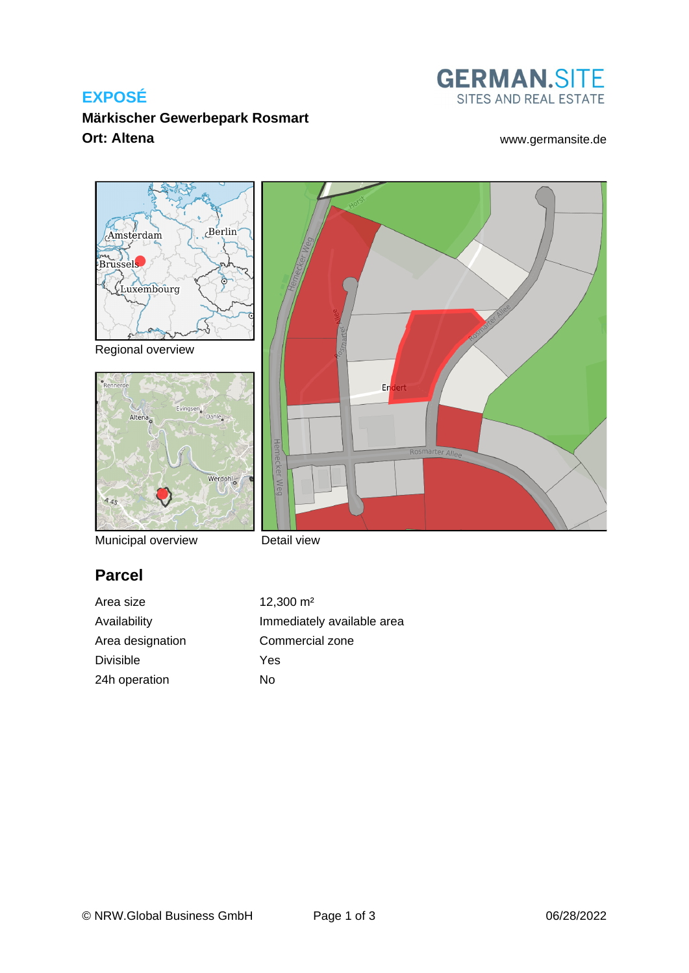# **EXPOSÉ**



#### **Märkischer Gewerbepark Rosmart Ort: Altena** [www.germansite.de](http://www.germansite.de)



Municipal overview

Detail view

# **Parcel**

Area size 12,300 m<sup>2</sup> Area designation Commercial zone Divisible Yes 24h operation No

Availability **Immediately** available area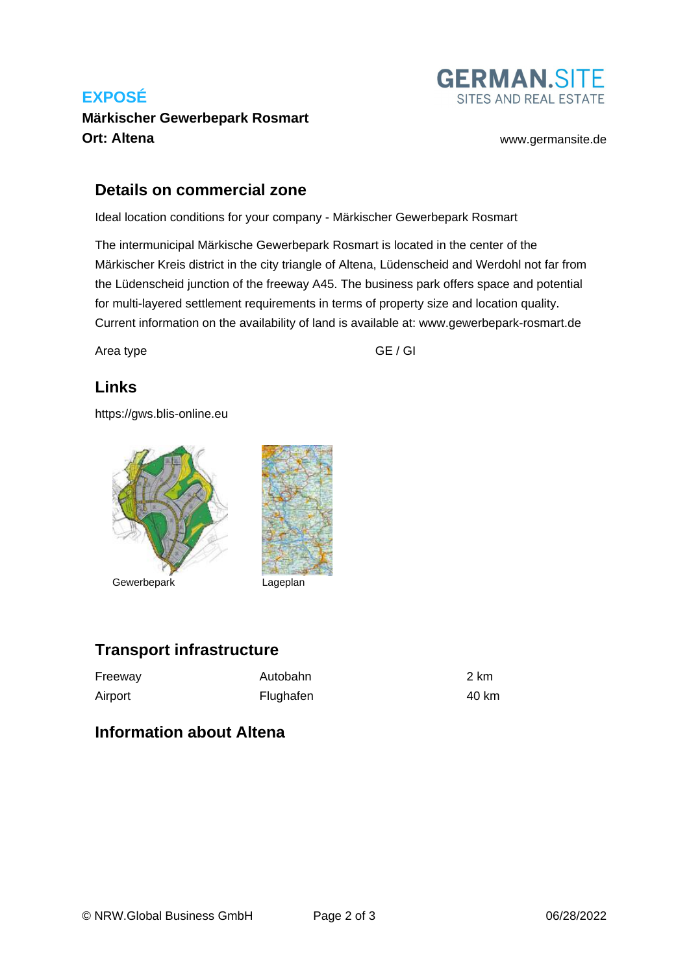# **EXPOSÉ Märkischer Gewerbepark Rosmart Ort: Altena** [www.germansite.de](http://www.germansite.de)



#### **Details on commercial zone**

Ideal location conditions for your company - Märkischer Gewerbepark Rosmart

The intermunicipal Märkische Gewerbepark Rosmart is located in the center of the Märkischer Kreis district in the city triangle of Altena, Lüdenscheid and Werdohl not far from the Lüdenscheid junction of the freeway A45. The business park offers space and potential for multi-layered settlement requirements in terms of property size and location quality. Current information on the availability of land is available at: www.gewerbepark-rosmart.de

Area type GE / GI

## **Links**

<https://gws.blis-online.eu>



## **Transport infrastructure**

| Freeway | Autobahn  | 2 km  |
|---------|-----------|-------|
| Airport | Flughafen | 40 km |

#### **Information about Altena**